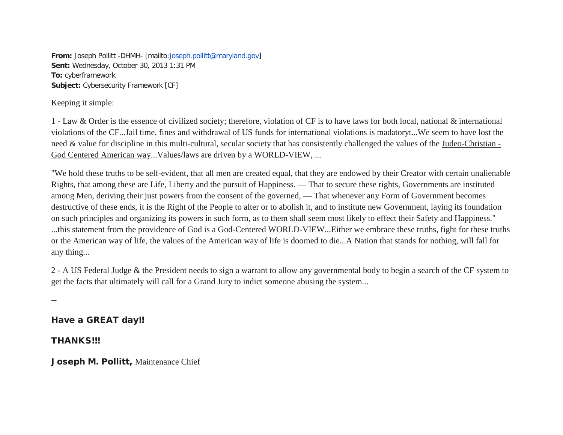**From:** Joseph Pollitt -DHMH- [mailto[:joseph.pollitt@maryland.gov\]](mailto:joseph.pollitt@maryland.gov) **Sent:** Wednesday, October 30, 2013 1:31 PM **To:** cyberframework **Subject:** Cybersecurity Framework [CF]

Keeping it simple:

1 - Law & Order is the essence of civilized society; therefore, violation of CF is to have laws for both local, national & international violations of the CF...Jail time, fines and withdrawal of US funds for international violations is madatoryt...We seem to have lost the need & value for discipline in this multi-cultural, secular society that has consistently challenged the values of the Judeo-Christian - God Centered American way...Values/laws are driven by a WORLD-VIEW, ...

"We hold these truths to be self-evident, that all men are created equal, that they are endowed by their Creator with certain unalienable Rights, that among these are Life, Liberty and the pursuit of Happiness. — That to secure these rights, Governments are instituted among Men, deriving their just powers from the consent of the governed, — That whenever any Form of Government becomes destructive of these ends, it is the Right of the People to alter or to abolish it, and to institute new Government, laying its foundation on such principles and organizing its powers in such form, as to them shall seem most likely to effect their Safety and Happiness." ...this statement from the providence of God is a God-Centered WORLD-VIEW...Either we embrace these truths, fight for these truths or the American way of life, the values of the American way of life is doomed to die...A Nation that stands for nothing, will fall for any thing...

2 - A US Federal Judge & the President needs to sign a warrant to allow any governmental body to begin a search of the CF system to get the facts that ultimately will call for a Grand Jury to indict someone abusing the system...

--

Have a GREAT day!!

THANKS!!!

Joseph M. Pollitt, Maintenance Chief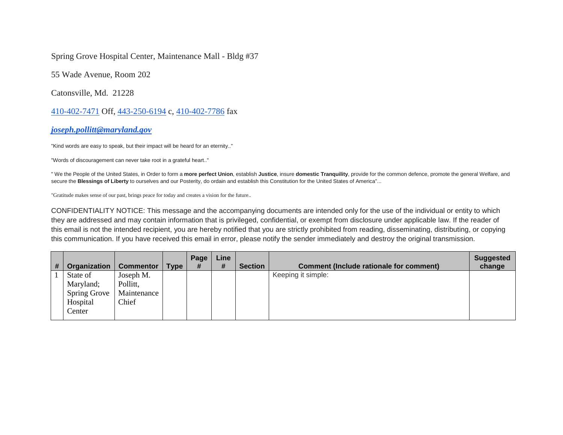Spring Grove Hospital Center, Maintenance Mall - Bldg #37

55 Wade Avenue, Room 202

Catonsville, Md. 21228

410-402-7471 Off, 443-250-6194 c, 410-402-7786 fax

*[joseph.pollitt@maryland.gov](mailto:joseph.pollitt@maryland.gov)*

"Kind words are easy to speak, but their impact will be heard for an eternity.."

"Words of discouragement can never take root in a grateful heart.."

" We the People of the United States, in Order to form a **more perfect Union**, establish **Justice**, insure **domestic Tranquility**, provide for the common defence, promote the general Welfare, and secure the **Blessings of Liberty** to ourselves and our Posterity, do ordain and establish this Constitution for the United States of America"...

"Gratitude makes sense of our past, brings peace for today and creates a vision for the future..

CONFIDENTIALITY NOTICE: This message and the accompanying documents are intended only for the use of the individual or entity to which they are addressed and may contain information that is privileged, confidential, or exempt from disclosure under applicable law. If the reader of this email is not the intended recipient, you are hereby notified that you are strictly prohibited from reading, disseminating, distributing, or copying this communication. If you have received this email in error, please notify the sender immediately and destroy the original transmission.

|  | Organization        | <b>Commentor</b> | <b>Type</b> | Page<br># | Line<br># | <b>Section</b> | <b>Comment (Include rationale for comment)</b> | <b>Suggested</b><br>change |
|--|---------------------|------------------|-------------|-----------|-----------|----------------|------------------------------------------------|----------------------------|
|  | State of            | Joseph M.        |             |           |           |                | Keeping it simple:                             |                            |
|  | Maryland;           | Pollitt,         |             |           |           |                |                                                |                            |
|  | <b>Spring Grove</b> | Maintenance      |             |           |           |                |                                                |                            |
|  | Hospital            | Chief            |             |           |           |                |                                                |                            |
|  | Center              |                  |             |           |           |                |                                                |                            |